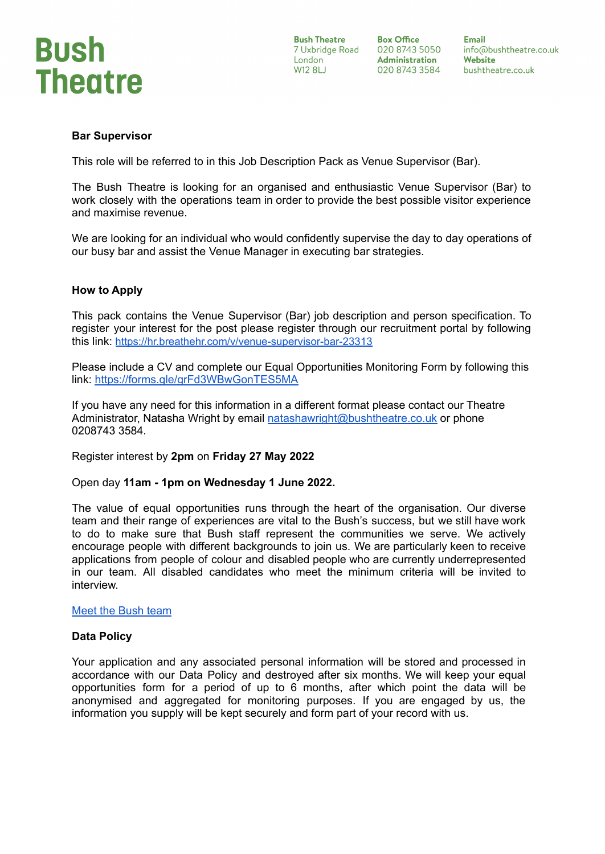

**Bush Theatre** London **W12 8LJ** 

**Box Office** 7 Uxbridge Road 020 8743 5050 **Administration** 020 8743 3584

**Email** info@bushtheatre.co.uk Website bushtheatre.co.uk

## **Bar Supervisor**

This role will be referred to in this Job Description Pack as Venue Supervisor (Bar).

The Bush Theatre is looking for an organised and enthusiastic Venue Supervisor (Bar) to work closely with the operations team in order to provide the best possible visitor experience and maximise revenue.

We are looking for an individual who would confidently supervise the day to day operations of our busy bar and assist the Venue Manager in executing bar strategies.

## **How to Apply**

This pack contains the Venue Supervisor (Bar) job description and person specification. To register your interest for the post please register through our recruitment portal by following this link: <https://hr.breathehr.com/v/venue-supervisor-bar-23313>

Please include a CV and complete our Equal Opportunities Monitoring Form by following this link: <https://forms.gle/grFd3WBwGonTES5MA>

If you have any need for this information in a different format please contact our Theatre Administrator, Natasha Wright by email [natashawright@bushtheatre.co.uk](mailto:natashawright@bushtheatre.co.uk) or phone 0208743 3584.

Register interest by **2pm** on **Friday 27 May 2022**

Open day **11am - 1pm on Wednesday 1 June 2022.**

The value of equal opportunities runs through the heart of the organisation. Our diverse team and their range of experiences are vital to the Bush's success, but we still have work to do to make sure that Bush staff represent the communities we serve. We actively encourage people with different backgrounds to join us. We are particularly keen to receive applications from people of colour and disabled people who are currently underrepresented in our team. All disabled candidates who meet the minimum criteria will be invited to interview.

## Meet the [Bush](https://www.bushtheatre.co.uk/about-us/the-team/) team

### **Data Policy**

Your application and any associated personal information will be stored and processed in accordance with our Data Policy and destroyed after six months. We will keep your equal opportunities form for a period of up to 6 months, after which point the data will be anonymised and aggregated for monitoring purposes. If you are engaged by us, the information you supply will be kept securely and form part of your record with us.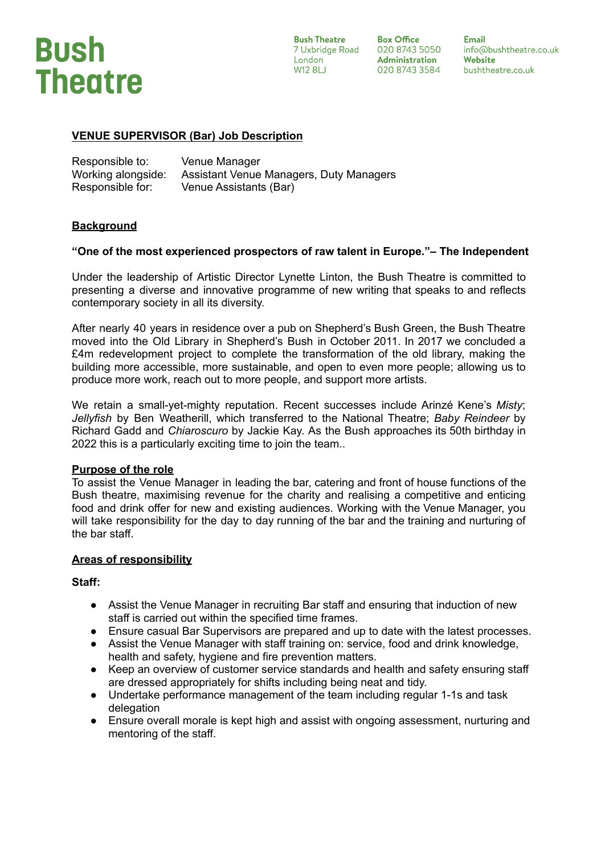

**Bush Theatre** London **W12 8LJ** 

**Box Office** 7 Uxbridge Road 020 8743 5050 **Administration** 020 8743 3584

**Email** info@bushtheatre.co.uk Website bushtheatre.co.uk

# **VENUE SUPERVISOR (Bar) Job Description**

| Responsible to:    | Venue Manager                           |
|--------------------|-----------------------------------------|
| Working alongside: | Assistant Venue Managers, Duty Managers |
| Responsible for:   | Venue Assistants (Bar)                  |

## **Background**

## **"One of the most experienced prospectors of raw talent in Europe."– The Independent**

Under the leadership of Artistic Director Lynette Linton, the Bush Theatre is committed to presenting a diverse and innovative programme of new writing that speaks to and reflects contemporary society in all its diversity.

After nearly 40 years in residence over a pub on Shepherd's Bush Green, the Bush Theatre moved into the Old Library in Shepherd's Bush in October 2011. In 2017 we concluded a £4m redevelopment project to complete the transformation of the old library, making the building more accessible, more sustainable, and open to even more people; allowing us to produce more work, reach out to more people, and support more artists.

We retain a small-yet-mighty reputation. Recent successes include Arinzé Kene's *Misty*; *Jellyfish* by Ben Weatherill, which transferred to the National Theatre; *Baby Reindeer* by Richard Gadd and *Chiaroscuro* by Jackie Kay. As the Bush approaches its 50th birthday in 2022 this is a particularly exciting time to join the team..

### **Purpose of the role**

To assist the Venue Manager in leading the bar, catering and front of house functions of the Bush theatre, maximising revenue for the charity and realising a competitive and enticing food and drink offer for new and existing audiences. Working with the Venue Manager, you will take responsibility for the day to day running of the bar and the training and nurturing of the bar staff.

### **Areas of responsibility**

### **Staff:**

- Assist the Venue Manager in recruiting Bar staff and ensuring that induction of new staff is carried out within the specified time frames.
- Ensure casual Bar Supervisors are prepared and up to date with the latest processes.
- Assist the Venue Manager with staff training on: service, food and drink knowledge, health and safety, hygiene and fire prevention matters.
- Keep an overview of customer service standards and health and safety ensuring staff are dressed appropriately for shifts including being neat and tidy.
- Undertake performance management of the team including regular 1-1s and task delegation
- Ensure overall morale is kept high and assist with ongoing assessment, nurturing and mentoring of the staff.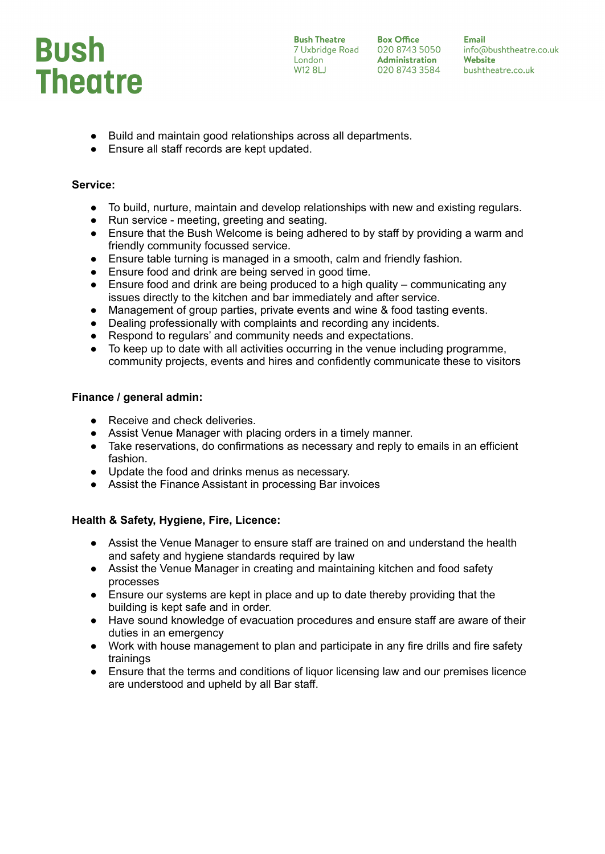

**Bush Theatre Box Office**<br>
7 Uxbridge Road 020 8743 5050<br>
London **Administration**<br>
W12 8LJ 020 8743 3584

**Email** info@bushtheatre.co.uk Website bushtheatre.co.uk

- Build and maintain good relationships across all departments.
- Ensure all staff records are kept updated.

# **Service:**

- To build, nurture, maintain and develop relationships with new and existing regulars.
- Run service meeting, greeting and seating.
- Ensure that the Bush Welcome is being adhered to by staff by providing a warm and friendly community focussed service.
- Ensure table turning is managed in a smooth, calm and friendly fashion.
- Ensure food and drink are being served in good time.
- $\bullet$  Ensure food and drink are being produced to a high quality communicating any issues directly to the kitchen and bar immediately and after service.
- Management of group parties, private events and wine & food tasting events.
- Dealing professionally with complaints and recording any incidents.
- Respond to regulars' and community needs and expectations.
- To keep up to date with all activities occurring in the venue including programme, community projects, events and hires and confidently communicate these to visitors

# **Finance / general admin:**

- Receive and check deliveries.
- Assist Venue Manager with placing orders in a timely manner.
- Take reservations, do confirmations as necessary and reply to emails in an efficient fashion.
- Update the food and drinks menus as necessary.
- Assist the Finance Assistant in processing Bar invoices

# **Health & Safety, Hygiene, Fire, Licence:**

- Assist the Venue Manager to ensure staff are trained on and understand the health and safety and hygiene standards required by law
- Assist the Venue Manager in creating and maintaining kitchen and food safety processes
- Ensure our systems are kept in place and up to date thereby providing that the building is kept safe and in order.
- Have sound knowledge of evacuation procedures and ensure staff are aware of their duties in an emergency
- Work with house management to plan and participate in any fire drills and fire safety trainings
- Ensure that the terms and conditions of liquor licensing law and our premises licence are understood and upheld by all Bar staff.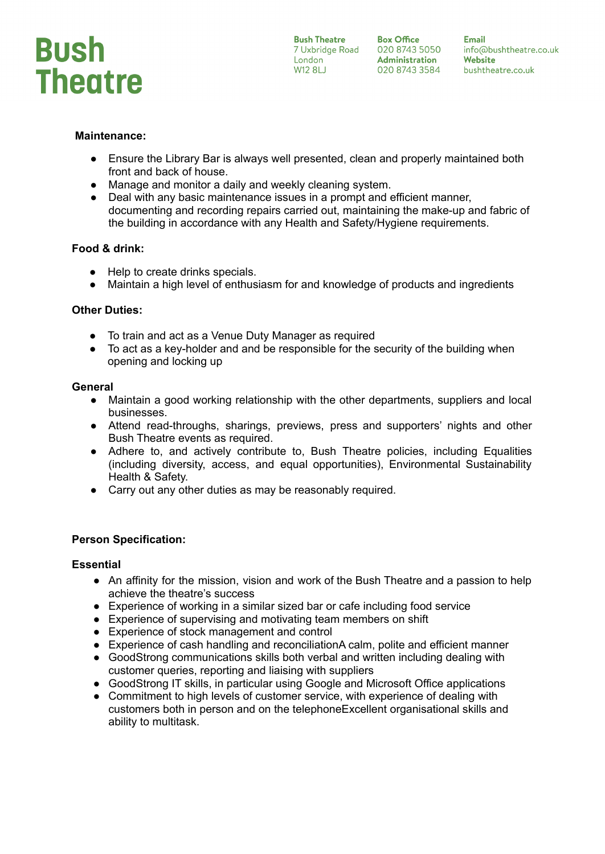

**Box Office** 

**Email Bush Ineatre Max Office Max Email**<br>
7 Uxbridge Road 020 8743 5050 info@bushtheatre.<br>
London **Administration Website**<br>
W12 8LJ 020 8743 3584 bushtheatre.co.uk info@bushtheatre.co.uk

## **Maintenance:**

- Ensure the Library Bar is always well presented, clean and properly maintained both front and back of house.
- Manage and monitor a daily and weekly cleaning system.
- Deal with any basic maintenance issues in a prompt and efficient manner, documenting and recording repairs carried out, maintaining the make-up and fabric of the building in accordance with any Health and Safety/Hygiene requirements.

## **Food & drink:**

- Help to create drinks specials.
- Maintain a high level of enthusiasm for and knowledge of products and ingredients

## **Other Duties:**

- To train and act as a Venue Duty Manager as required
- To act as a key-holder and and be responsible for the security of the building when opening and locking up

### **General**

- Maintain a good working relationship with the other departments, suppliers and local businesses.
- Attend read-throughs, sharings, previews, press and supporters' nights and other Bush Theatre events as required.
- Adhere to, and actively contribute to, Bush Theatre policies, including Equalities (including diversity, access, and equal opportunities), Environmental Sustainability Health & Safety.
- Carry out any other duties as may be reasonably required.

## **Person Specification:**

### **Essential**

- An affinity for the mission, vision and work of the Bush Theatre and a passion to help achieve the theatre's success
- Experience of working in a similar sized bar or cafe including food service
- Experience of supervising and motivating team members on shift
- Experience of stock management and control
- Experience of cash handling and reconciliationA calm, polite and efficient manner
- GoodStrong communications skills both verbal and written including dealing with customer queries, reporting and liaising with suppliers
- GoodStrong IT skills, in particular using Google and Microsoft Office applications
- Commitment to high levels of customer service, with experience of dealing with customers both in person and on the telephoneExcellent organisational skills and ability to multitask.